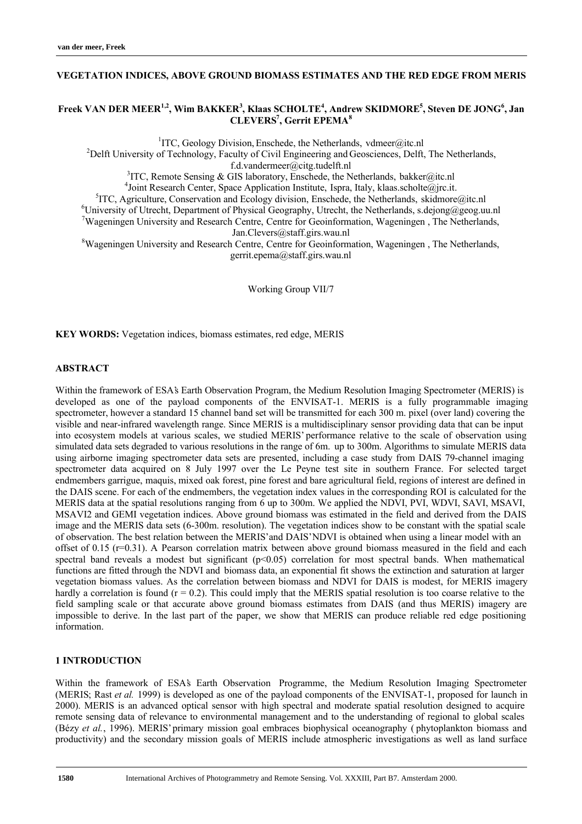### **VEGETATION INDICES, ABOVE GROUND BIOMASS ESTIMATES AND THE RED EDGE FROM MERIS**

# **Freek VAN DER MEER1,2, Wim BAKKER3 , Klaas SCHOLTE<sup>4</sup> , Andrew SKIDMORE5 , Steven DE JONG<sup>6</sup> , Jan CLEVERS7 , Gerrit EPEMA<sup>8</sup>**

<sup>1</sup>ITC, Geology Division, Enschede, the Netherlands, vdmeer@itc.nl<br><sup>2</sup>Delft University of Technology, Feaulty of Civil Engineering and Geoscionees, Delft

<sup>2</sup>Delft University of Technology, Faculty of Civil Engineering and Geosciences, Delft, The Netherlands, f.d.vandermeer@citg.tudelft.nl

f.d.vandermeer@citg.tudelft.nl<br><sup>3</sup>ITC, Remote Sensing & GIS laboratory, Enschede, the Netherlands, bakker@itc.nl<sup>3</sup>

<sup>4</sup> Joint Research Center, Space Application Institute, Ispra, Italy, klaas.scholte@jrc.it.<br><sup>5</sup>ITC Agriculture Conservation and Ecology division. Encohode, the Natherlands, ekidmore

<sup>5</sup>ITC, Agriculture, Conservation and Ecology division, Enschede, the Netherlands, skidmore@itc.nl

University of Utrecht, Department of Physical Geography, Utrecht, the Netherlands, s.dejong@geog.uu.nl

<sup>7</sup>Wageningen University and Research Centre, Centre for Geoinformation, Wageningen, The Netherlands,

Jan.Clevers@staff.girs.wau.nl<br><sup>8</sup>Wageningen University and Research Centre, Centre for Geoinformation, Wageningen , The Netherlands, gerrit.epema@staff.girs.wau.nl

Working Group VII/7

**KEY WORDS:** Vegetation indices, biomass estimates, red edge, MERIS

# **ABSTRACT**

Within the framework of ESA's Earth Observation Program, the Medium Resolution Imaging Spectrometer (MERIS) is developed as one of the payload components of the ENVISAT-1. MERIS is a fully programmable imaging spectrometer, however a standard 15 channel band set will be transmitted for each 300 m. pixel (over land) covering the visible and near-infrared wavelength range. Since MERIS is a multidisciplinary sensor providing data that can be input into ecosystem models at various scales, we studied MERIS' performance relative to the scale of observation using simulated data sets degraded to various resolutions in the range of 6m. up to 300m. Algorithms to simulate MERIS data using airborne imaging spectrometer data sets are presented, including a case study from DAIS 79-channel imaging spectrometer data acquired on 8 July 1997 over the Le Peyne test site in southern France. For selected target endmembers garrigue, maquis, mixed oak forest, pine forest and bare agricultural field, regions of interest are defined in the DAIS scene. For each of the endmembers, the vegetation index values in the corresponding ROI is calculated for the MERIS data at the spatial resolutions ranging from 6 up to 300m. We applied the NDVI, PVI, WDVI, SAVI, MSAVI, MSAVI2 and GEMI vegetation indices. Above ground biomass was estimated in the field and derived from the DAIS image and the MERIS data sets (6-300m. resolution). The vegetation indices show to be constant with the spatial scale of observation. The best relation between the MERIS' and DAIS' NDVI is obtained when using a linear model with an offset of 0.15 ( $r=0.31$ ). A Pearson correlation matrix between above ground biomass measured in the field and each spectral band reveals a modest but significant  $(p<0.05)$  correlation for most spectral bands. When mathematical functions are fitted through the NDVI and biomass data, an exponential fit shows the extinction and saturation at larger vegetation biomass values. As the correlation between biomass and NDVI for DAIS is modest, for MERIS imagery hardly a correlation is found  $(r = 0.2)$ . This could imply that the MERIS spatial resolution is too coarse relative to the field sampling scale or that accurate above ground biomass estimates from DAIS (and thus MERIS) imagery are impossible to derive. In the last part of the paper, we show that MERIS can produce reliable red edge positioning information.

# **1 INTRODUCTION**

Within the framework of ESA's Earth Observation Programme, the Medium Resolution Imaging Spectrometer (MERIS; Rast *et al.* 1999) is developed as one of the payload components of the ENVISAT-1, proposed for launch in 2000). MERIS is an advanced optical sensor with high spectral and moderate spatial resolution designed to acquire remote sensing data of relevance to environmental management and to the understanding of regional to global scales (Bézy *et al.*, 1996). MERIS' primary mission goal embraces biophysical oceanography ( phytoplankton biomass and productivity) and the secondary mission goals of MERIS include atmospheric investigations as well as land surface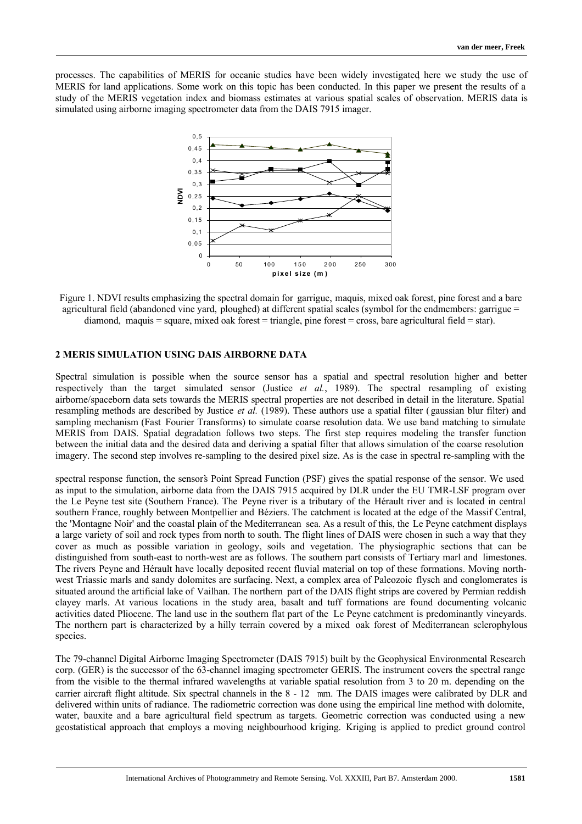processes. The capabilities of MERIS for oceanic studies have been widely investigated, here we study the use of MERIS for land applications. Some work on this topic has been conducted. In this paper we present the results of a study of the MERIS vegetation index and biomass estimates at various spatial scales of observation. MERIS data is simulated using airborne imaging spectrometer data from the DAIS 7915 imager.



Figure 1. NDVI results emphasizing the spectral domain for garrigue, maquis, mixed oak forest, pine forest and a bare agricultural field (abandoned vine yard, ploughed) at different spatial scales (symbol for the endmembers: garrigue = diamond, maquis = square, mixed oak forest = triangle, pine forest = cross, bare agricultural field = star).

# **2 MERIS SIMULATION USING DAIS AIRBORNE DATA**

Spectral simulation is possible when the source sensor has a spatial and spectral resolution higher and better respectively than the target simulated sensor (Justice *et al.*, 1989). The spectral resampling of existing airborne/spaceborn data sets towards the MERIS spectral properties are not described in detail in the literature. Spatial resampling methods are described by Justice *et al.* (1989). These authors use a spatial filter ( gaussian blur filter) and sampling mechanism (Fast Fourier Transforms) to simulate coarse resolution data. We use band matching to simulate MERIS from DAIS. Spatial degradation follows two steps. The first step requires modeling the transfer function between the initial data and the desired data and deriving a spatial filter that allows simulation of the coarse resolution imagery. The second step involves re-sampling to the desired pixel size. As is the case in spectral re-sampling with the

spectral response function, the sensor's Point Spread Function (PSF) gives the spatial response of the sensor. We used as input to the simulation, airborne data from the DAIS 7915 acquired by DLR under the EU TMR-LSF program over the Le Peyne test site (Southern France). The Peyne river is a tributary of the Hérault river and is located in central southern France, roughly between Montpellier and Béziers. The catchment is located at the edge of the Massif Central, the 'Montagne Noir' and the coastal plain of the Mediterranean sea. As a result of this, the Le Peyne catchment displays a large variety of soil and rock types from north to south. The flight lines of DAIS were chosen in such a way that they cover as much as possible variation in geology, soils and vegetation. The physiographic sections that can be distinguished from south-east to north-west are as follows. The southern part consists of Tertiary marl and limestones. The rivers Peyne and Hérault have locally deposited recent fluvial material on top of these formations. Moving northwest Triassic marls and sandy dolomites are surfacing. Next, a complex area of Paleozoic flysch and conglomerates is situated around the artificial lake of Vailhan. The northern part of the DAIS flight strips are covered by Permian reddish clayey marls. At various locations in the study area, basalt and tuff formations are found documenting volcanic activities dated Pliocene. The land use in the southern flat part of the Le Peyne catchment is predominantly vineyards. The northern part is characterized by a hilly terrain covered by a mixed oak forest of Mediterranean sclerophylous species.

The 79-channel Digital Airborne Imaging Spectrometer (DAIS 7915) built by the Geophysical Environmental Research corp. (GER) is the successor of the 63-channel imaging spectrometer GERIS. The instrument covers the spectral range from the visible to the thermal infrared wavelengths at variable spatial resolution from 3 to 20 m. depending on the carrier aircraft flight altitude. Six spectral channels in the 8 - 12 mm. The DAIS images were calibrated by DLR and delivered within units of radiance. The radiometric correction was done using the empirical line method with dolomite, water, bauxite and a bare agricultural field spectrum as targets. Geometric correction was conducted using a new geostatistical approach that employs a moving neighbourhood kriging. Kriging is applied to predict ground control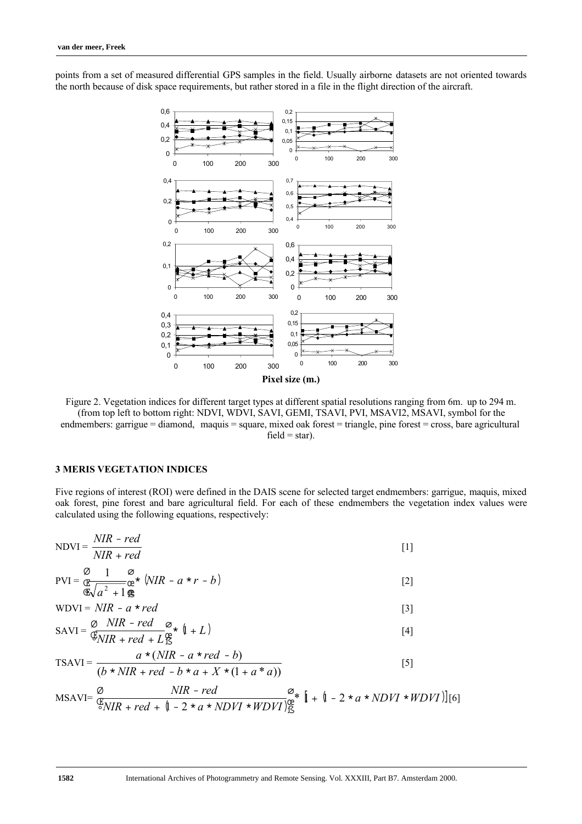points from a set of measured differential GPS samples in the field. Usually airborne datasets are not oriented towards the north because of disk space requirements, but rather stored in a file in the flight direction of the aircraft.



Figure 2. Vegetation indices for different target types at different spatial resolutions ranging from 6m. up to 294 m. (from top left to bottom right: NDVI, WDVI, SAVI, GEMI, TSAVI, PVI, MSAVI2, MSAVI, symbol for the endmembers: garrigue = diamond, maquis = square, mixed oak forest = triangle, pine forest = cross, bare agricultural  $field = star$ ).

### **3 MERIS VEGETATION INDICES**

Five regions of interest (ROI) were defined in the DAIS scene for selected target endmembers: garrigue, maquis, mixed oak forest, pine forest and bare agricultural field. For each of these endmembers the vegetation index values were calculated using the following equations, respectively:

$$
NDVI = \frac{NIR - red}{NIR + red}
$$
 [1]

$$
PVI = \underbrace{\mathcal{Q}}_{\mathfrak{E}\sqrt{a^2 + 1}} \underbrace{\mathcal{Q}}_{\mathfrak{E}} \star \left( NIR - a \star r - b \right)
$$
 [2]

$$
\mathfrak{F}\sqrt{a^2 + 1}\mathfrak{F}
$$
  
WDVI = *NIR - a \* red* [3]

$$
SAVI = \frac{\emptyset \quad NIR - red}{\mathfrak{F}_{NIR} + red + L} \mathfrak{F}_{\mathfrak{F}}^{\mathfrak{F}} \quad (\mathfrak{l} + L) \tag{4}
$$

$$
\text{TSAVI} = \frac{a * (NIR - a * red - b)}{(b * NIR + red - b * a + X * (1 + a * a))}
$$
 [5]

$$
\text{MSAVI} = \frac{\varnothing}{\mathcal{E}_{NIR} + red + [1 - 2 * a * NDVI * WDVI]_{\text{IS}}^{\text{ce}}} \mathcal{E}_{\text{I}} + [1 - 2 * a * NDVI * WDVI \cdot \text{I}[6]
$$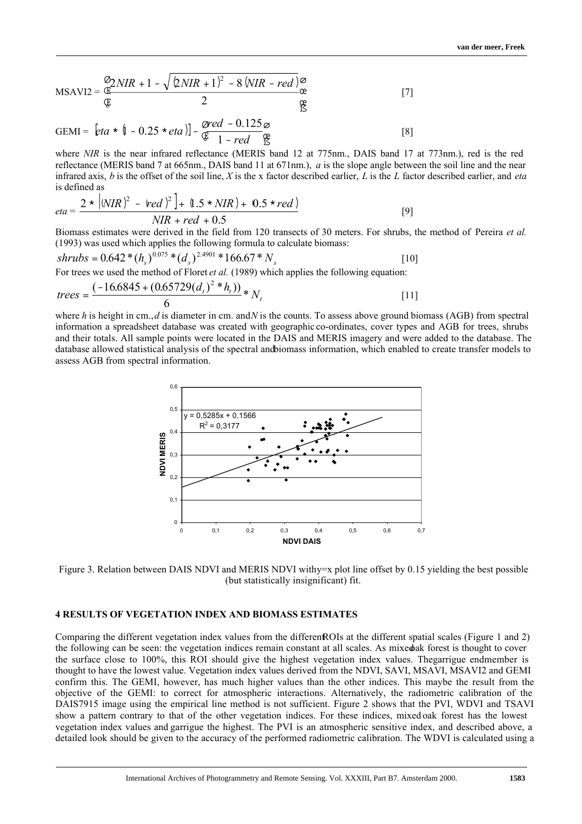$$
MSAVI2 = \frac{\mathcal{D}_2 NIR + 1 - \sqrt{2NIR + 1}^2 - 8(NIR - red)}{\mathcal{E}} \mathcal{E}
$$
\n
$$
17 \text{ J}
$$
\n
$$
\mathcal{E}
$$

GEMI =  $[eta * (1 - 0.25 * eta)] - \frac{\cancel{0} \cdot \cancel{0} \cdot \cancel{0}}{(\frac{\cancel{0}}{2} - 1 - red)}]$ ø Œ º Ø  $[eta * (1 - 0.25 * eta)] - \frac{\text{pred}}{9} - \frac{0.1}{1 - red}$ 1  $(1 - 0.25 * eta)] - \frac{\text{pred} - 0.125 \varnothing}{\text{er}}$  [8]

where *NIR* is the near infrared reflectance (MERIS band 12 at 775nm., DAIS band 17 at 773nm.), red is the red reflectance (MERIS band 7 at 665nm., DAIS band 11 at 671nm.), *a* is the slope angle between the soil line and the near infrared axis, *b* is the offset of the soil line, *X* is the x factor described earlier, *L* is the *L* factor described earlier, and *eta* is defined as

$$
eta = \frac{2 * |NIR)^{2} - \text{red }r^{2} + 1.5 * NIR + 0.5 * \text{red }r}{NIR + \text{red } + 0.5}
$$
 [9]

Biomass estimates were derived in the field from 120 transects of 30 meters. For shrubs, the method of Pereira *et al.* (1993) was used which applies the following formula to calculate biomass:

shrubs = 
$$
0.642 * (h_s)^{0.075} * (d_s)^{2.4901} * 166.67 * N_s
$$
 [10]  
For trees we used the method of Floret *et al.* (1989) which applies the following equation:

$$
trees = \frac{(-16.6845 + (0.65729(d_t)^2 * h_t))}{6} * N_t
$$
\n[11]

where *h* is height in cm., *d* is diameter in cm. and *N* is the counts. To assess above ground biomass (AGB) from spectral information a spreadsheet database was created with geographic co-ordinates, cover types and AGB for trees, shrubs and their totals. All sample points were located in the DAIS and MERIS imagery and were added to the database. The database allowed statistical analysis of the spectral and biomass information, which enabled to create transfer models to assess AGB from spectral information.



Figure 3. Relation between DAIS NDVI and MERIS NDVI with  $y=x$  plot line offset by 0.15 yielding the best possible (but statistically insignificant) fit.

# **4 RESULTS OF VEGETATION INDEX AND BIOMASS ESTIMATES**

Comparing the different vegetation index values from the different ROIs at the different spatial scales (Figure 1 and 2) the following can be seen: the vegetation indices remain constant at all scales. As mixed ak forest is thought to cover the surface close to 100%, this ROI should give the highest vegetation index values. The garrigue endmember is thought to have the lowest value. Vegetation index values derived from the NDVI, SAVI, MSAVI, MSAVI2 and GEMI confirm this. The GEMI, however, has much higher values than the other indices. This maybe the result from the objective of the GEMI: to correct for atmospheric interactions. Alternatively, the radiometric calibration of the DAIS7915 image using the empirical line method is not sufficient. Figure 2 shows that the PVI, WDVI and TSAVI show a pattern contrary to that of the other vegetation indices. For these indices, mixed oak forest has the lowest vegetation index values and garrigue the highest. The PVI is an atmospheric sensitive index, and described above, a detailed look should be given to the accuracy of the performed radiometric calibration. The WDVI is calculated using a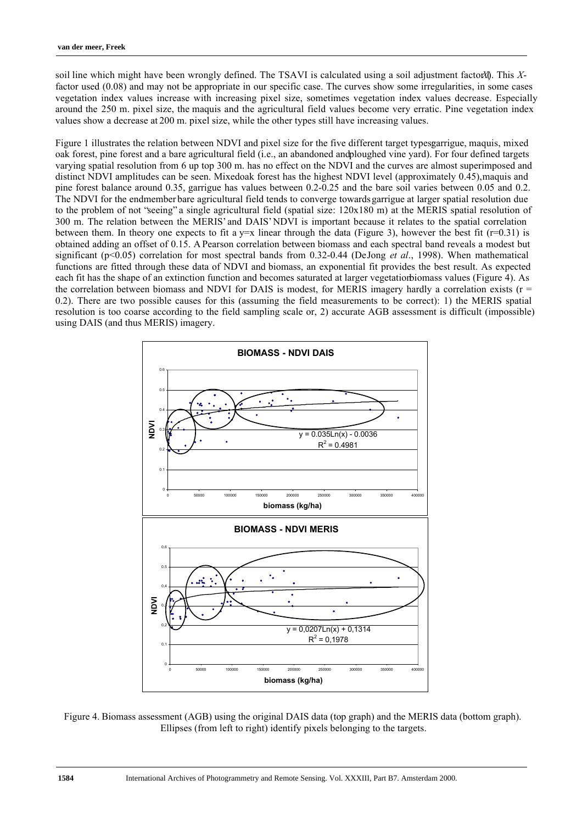soil line which might have been wrongly defined. The TSAVI is calculated using a soil adjustment factor (*X*). This *X*factor used (0.08) and may not be appropriate in our specific case. The curves show some irregularities, in some cases vegetation index values increase with increasing pixel size, sometimes vegetation index values decrease. Especially around the 250 m. pixel size, the maquis and the agricultural field values become very erratic. Pine vegetation index values show a decrease at 200 m. pixel size, while the other types still have increasing values.

Figure 1 illustrates the relation between NDVI and pixel size for the five different target typesgarrigue, maquis, mixed oak forest, pine forest and a bare agricultural field (i.e., an abandoned and ploughed vine yard). For four defined targets varying spatial resolution from 6 up top 300 m. has no effect on the NDVI and the curves are almost superimposed and distinct NDVI amplitudes can be seen. Mixedoak forest has the highest NDVI level (approximately 0.45), maquis and pine forest balance around 0.35, garrigue has values between 0.2-0.25 and the bare soil varies between 0.05 and 0.2. The NDVI for the endmember bare agricultural field tends to converge towards garrigue at larger spatial resolution due to the problem of not "seeing" a single agricultural field (spatial size: 120x180 m) at the MERIS spatial resolution of 300 m. The relation between the MERIS' and DAIS' NDVI is important because it relates to the spatial correlation between them. In theory one expects to fit a  $y=x$  linear through the data (Figure 3), however the best fit ( $r=0.31$ ) is obtained adding an offset of 0.15. A Pearson correlation between biomass and each spectral band reveals a modest but significant (p<0.05) correlation for most spectral bands from 0.32-0.44 (De Jong *et al*., 1998). When mathematical functions are fitted through these data of NDVI and biomass, an exponential fit provides the best result. As expected each fit has the shape of an extinction function and becomes saturated at larger vegetation biomass values (Figure 4). As the correlation between biomass and NDVI for DAIS is modest, for MERIS imagery hardly a correlation exists ( $r =$ 0.2). There are two possible causes for this (assuming the field measurements to be correct): 1) the MERIS spatial resolution is too coarse according to the field sampling scale or, 2) accurate AGB assessment is difficult (impossible) using DAIS (and thus MERIS) imagery.



Figure 4. Biomass assessment (AGB) using the original DAIS data (top graph) and the MERIS data (bottom graph). Ellipses (from left to right) identify pixels belonging to the targets.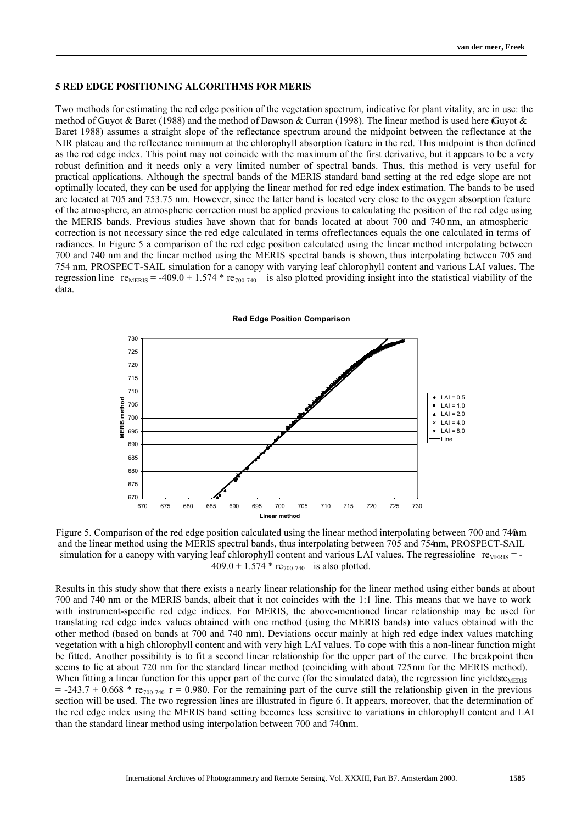### **5 RED EDGE POSITIONING ALGORITHMS FOR MERIS**

Two methods for estimating the red edge position of the vegetation spectrum, indicative for plant vitality, are in use: the method of Guyot & Baret (1988) and the method of Dawson & Curran (1998). The linear method is used here (Guyot & Baret 1988) assumes a straight slope of the reflectance spectrum around the midpoint between the reflectance at the NIR plateau and the reflectance minimum at the chlorophyll absorption feature in the red. This midpoint is then defined as the red edge index. This point may not coincide with the maximum of the first derivative, but it appears to be a very robust definition and it needs only a very limited number of spectral bands. Thus, this method is very useful for practical applications. Although the spectral bands of the MERIS standard band setting at the red edge slope are not optimally located, they can be used for applying the linear method for red edge index estimation. The bands to be used are located at 705 and 753.75 nm. However, since the latter band is located very close to the oxygen absorption feature of the atmosphere, an atmospheric correction must be applied previous to calculating the position of the red edge using the MERIS bands. Previous studies have shown that for bands located at about 700 and 740 nm, an atmospheric correction is not necessary since the red edge calculated in terms of reflectances equals the one calculated in terms of radiances. In Figure 5 a comparison of the red edge position calculated using the linear method interpolating between 700 and 740 nm and the linear method using the MERIS spectral bands is shown, thus interpolating between 705 and 754 nm, PROSPECT-SAIL simulation for a canopy with varying leaf chlorophyll content and various LAI values. The regression line  $re_{MERIS} = -409.0 + 1.574 * re_{700-740}$  is also plotted providing insight into the statistical viability of the data.



#### **Red Edge Position Comparison**

Figure 5. Comparison of the red edge position calculated using the linear method interpolating between 700 and 740 mm and the linear method using the MERIS spectral bands, thus interpolating between 705 and 754 nm, PROSPECT-SAIL simulation for a canopy with varying leaf chlorophyll content and various LAI values. The regression in  $r_{MERIS} = -1$  $409.0 + 1.574 * re_{700-740}$  is also plotted.

Results in this study show that there exists a nearly linear relationship for the linear method using either bands at about 700 and 740 nm or the MERIS bands, albeit that it not coincides with the 1:1 line. This means that we have to work with instrument-specific red edge indices. For MERIS, the above-mentioned linear relationship may be used for translating red edge index values obtained with one method (using the MERIS bands) into values obtained with the other method (based on bands at 700 and 740 nm). Deviations occur mainly at high red edge index values matching vegetation with a high chlorophyll content and with very high LAI values. To cope with this a non-linear function might be fitted. Another possibility is to fit a second linear relationship for the upper part of the curve. The breakpoint then seems to lie at about 720 nm for the standard linear method (coinciding with about 725 nm for the MERIS method). When fitting a linear function for this upper part of the curve (for the simulated data), the regression line yields:  $e_{MERIS}$  $=$  -243.7 + 0.668  $*$  re<sub>700-740</sub> r = 0.980. For the remaining part of the curve still the relationship given in the previous section will be used. The two regression lines are illustrated in figure 6. It appears, moreover, that the determination of the red edge index using the MERIS band setting becomes less sensitive to variations in chlorophyll content and LAI than the standard linear method using interpolation between 700 and 740 nm.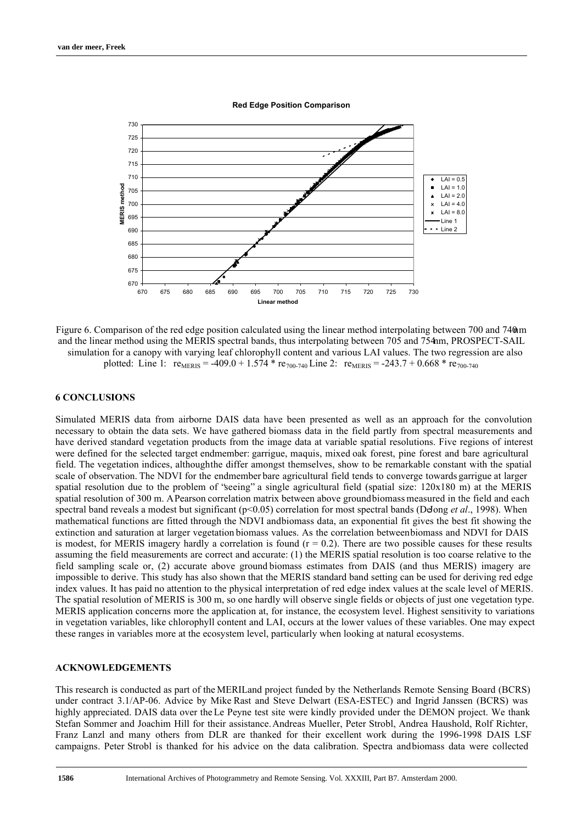

**Red Edge Position Comparison**

Figure 6. Comparison of the red edge position calculated using the linear method interpolating between 700 and 740 mm and the linear method using the MERIS spectral bands, thus interpolating between 705 and 754nm, PROSPECT-SAIL simulation for a canopy with varying leaf chlorophyll content and various LAI values. The two regression are also plotted: Line 1:  $r_{MERIS} = -409.0 + 1.574 * r_{700-740}$  Line 2:  $r_{MERIS} = -243.7 + 0.668 * r_{700-740}$ 

#### **6 CONCLUSIONS**

Simulated MERIS data from airborne DAIS data have been presented as well as an approach for the convolution necessary to obtain the data sets. We have gathered biomass data in the field partly from spectral measurements and have derived standard vegetation products from the image data at variable spatial resolutions. Five regions of interest were defined for the selected target endmember: garrigue, maquis, mixed oak forest, pine forest and bare agricultural field. The vegetation indices, although the differ amongst themselves, show to be remarkable constant with the spatial scale of observation. The NDVI for the endmember bare agricultural field tends to converge towards garrigue at larger spatial resolution due to the problem of "seeing" a single agricultural field (spatial size: 120x180 m) at the MERIS spatial resolution of 300 m. A Pearson correlation matrix between above ground biomass measured in the field and each spectral band reveals a modest but significant (p<0.05) correlation for most spectral bands (DeJong *et al.*, 1998). When mathematical functions are fitted through the NDVI and biomass data, an exponential fit gives the best fit showing the extinction and saturation at larger vegetation biomass values. As the correlation between biomass and NDVI for DAIS is modest, for MERIS imagery hardly a correlation is found  $(r = 0.2)$ . There are two possible causes for these results assuming the field measurements are correct and accurate: (1) the MERIS spatial resolution is too coarse relative to the field sampling scale or, (2) accurate above ground biomass estimates from DAIS (and thus MERIS) imagery are impossible to derive. This study has also shown that the MERIS standard band setting can be used for deriving red edge index values. It has paid no attention to the physical interpretation of red edge index values at the scale level of MERIS. The spatial resolution of MERIS is 300 m, so one hardly will observe single fields or objects of just one vegetation type. MERIS application concerns more the application at, for instance, the ecosystem level. Highest sensitivity to variations in vegetation variables, like chlorophyll content and LAI, occurs at the lower values of these variables. One may expect these ranges in variables more at the ecosystem level, particularly when looking at natural ecosystems.

#### **ACKNOWLEDGEMENTS**

This research is conducted as part of the MERILand project funded by the Netherlands Remote Sensing Board (BCRS) under contract 3.1/AP-06. Advice by Mike Rast and Steve Delwart (ESA-ESTEC) and Ingrid Janssen (BCRS) was highly appreciated. DAIS data over the Le Peyne test site were kindly provided under the DEMON project. We thank Stefan Sommer and Joachim Hill for their assistance. Andreas Mueller, Peter Strobl, Andrea Haushold, Rolf Richter, Franz Lanzl and many others from DLR are thanked for their excellent work during the 1996-1998 DAIS LSF campaigns. Peter Strobl is thanked for his advice on the data calibration. Spectra and biomass data were collected